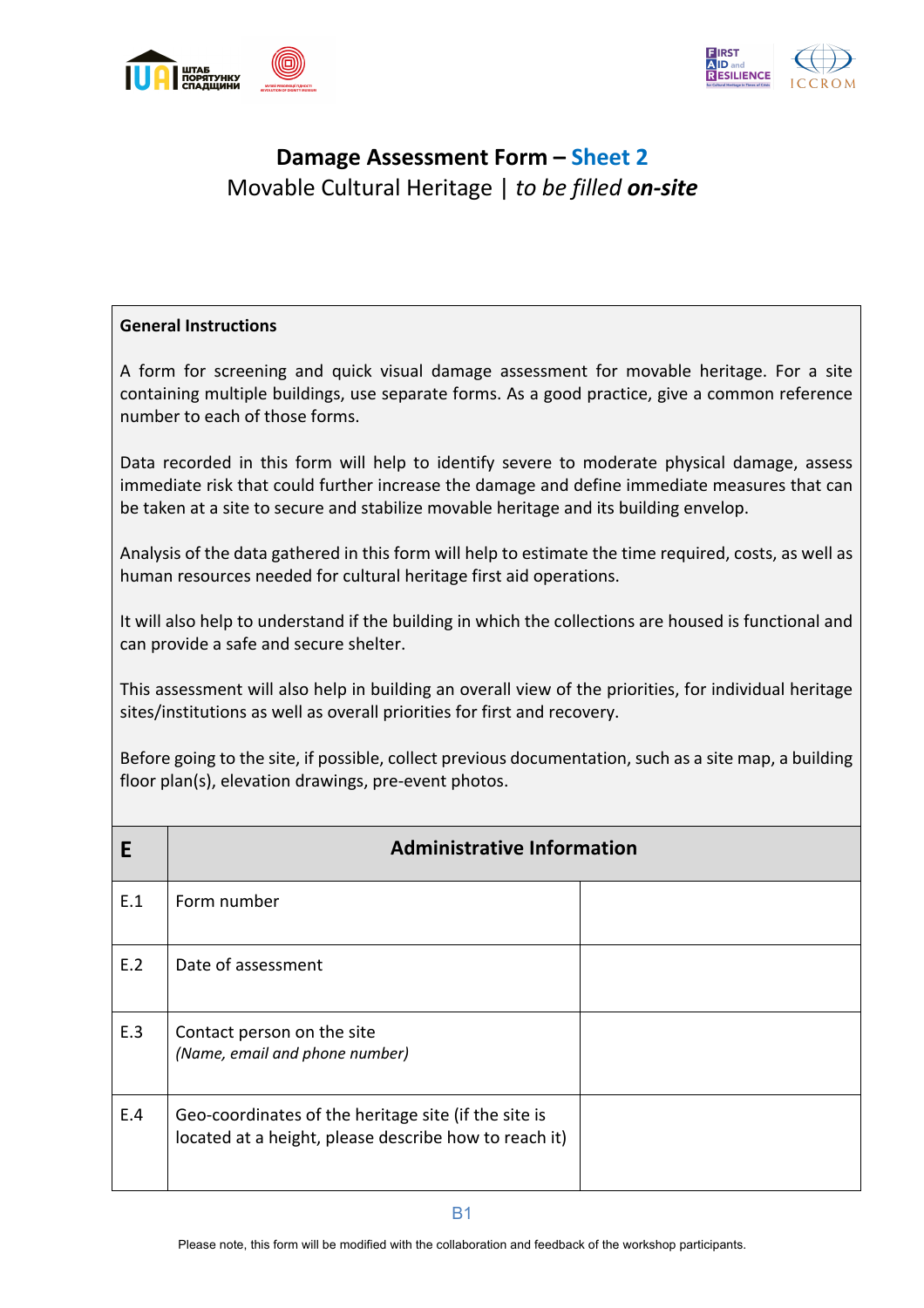



## **Damage Assessment Form – Sheet 2** Movable Cultural Heritage | *to be filled on-site*

## **General Instructions**

A form for screening and quick visual damage assessment for movable heritage. For a site containing multiple buildings, use separate forms. As a good practice, give a common reference number to each of those forms.

Data recorded in this form will help to identify severe to moderate physical damage, assess immediate risk that could further increase the damage and define immediate measures that can be taken at a site to secure and stabilize movable heritage and its building envelop.

Analysis of the data gathered in this form will help to estimate the time required, costs, as well as human resources needed for cultural heritage first aid operations.

It will also help to understand if the building in which the collections are housed is functional and can provide a safe and secure shelter.

This assessment will also help in building an overall view of the priorities, for individual heritage sites/institutions as well as overall priorities for first and recovery.

Before going to the site, if possible, collect previous documentation, such as a site map, a building floor plan(s), elevation drawings, pre-event photos.

| E   | <b>Administrative Information</b>                                                                             |  |  |  |  |  |  |  |  |  |
|-----|---------------------------------------------------------------------------------------------------------------|--|--|--|--|--|--|--|--|--|
| E.1 | Form number                                                                                                   |  |  |  |  |  |  |  |  |  |
| E.2 | Date of assessment                                                                                            |  |  |  |  |  |  |  |  |  |
| E.3 | Contact person on the site<br>(Name, email and phone number)                                                  |  |  |  |  |  |  |  |  |  |
| E.4 | Geo-coordinates of the heritage site (if the site is<br>located at a height, please describe how to reach it) |  |  |  |  |  |  |  |  |  |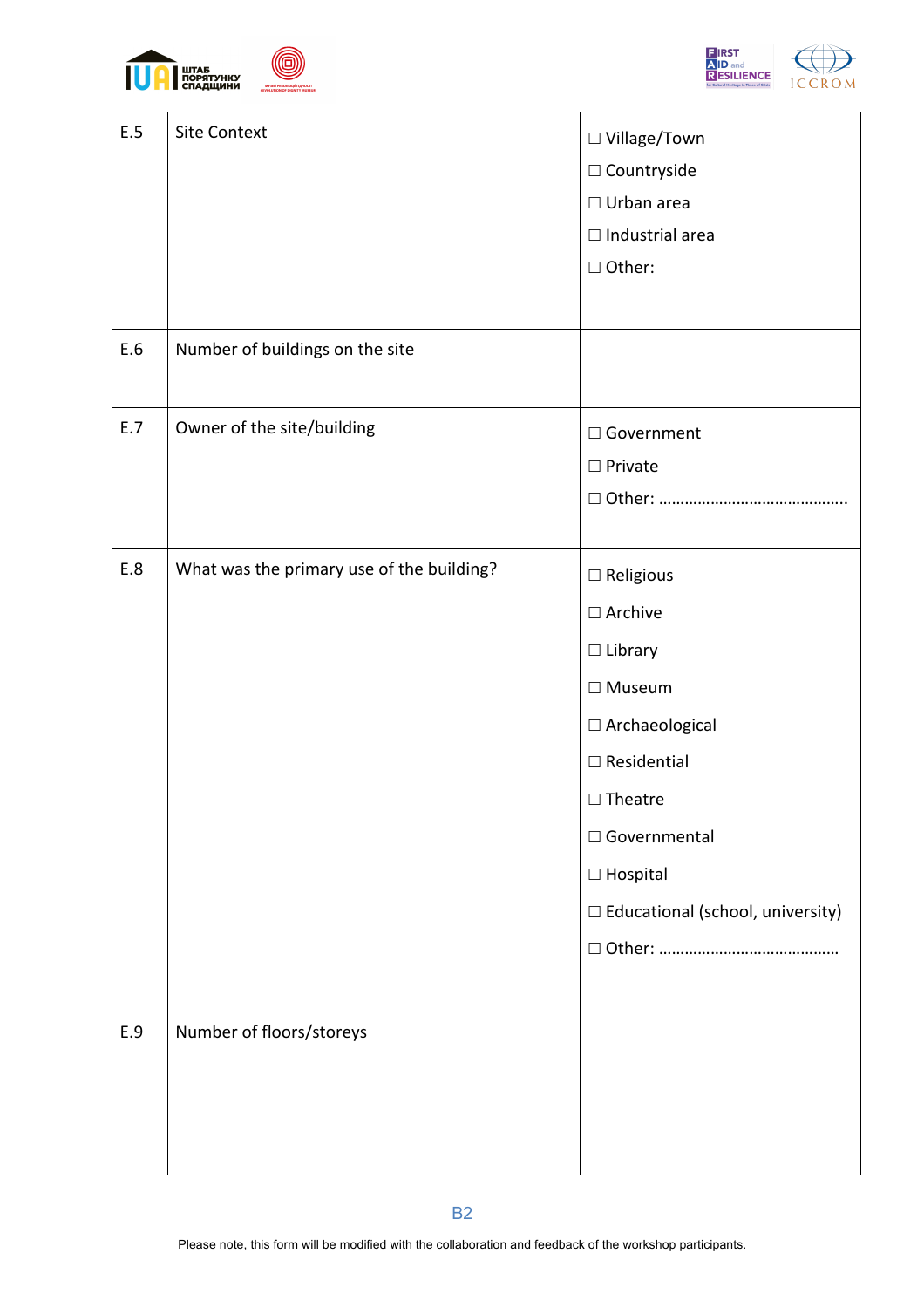



| E.5<br>E.6 | <b>Site Context</b><br>Number of buildings on the site | □ Village/Town<br>$\square$ Countryside<br>$\Box$ Urban area<br>$\Box$ Industrial area<br>□ Other:                                                                                                                                 |
|------------|--------------------------------------------------------|------------------------------------------------------------------------------------------------------------------------------------------------------------------------------------------------------------------------------------|
|            |                                                        |                                                                                                                                                                                                                                    |
| E.7        | Owner of the site/building                             | □ Government<br>$\square$ Private                                                                                                                                                                                                  |
| E.8        | What was the primary use of the building?              | $\square$ Religious<br>$\square$ Archive<br>$\Box$ Library<br>$\square$ Museum<br>$\Box$ Archaeological<br>$\Box$ Residential<br>$\Box$ Theatre<br>□ Governmental<br>$\square$ Hospital<br>$\Box$ Educational (school, university) |
| E.9        | Number of floors/storeys                               |                                                                                                                                                                                                                                    |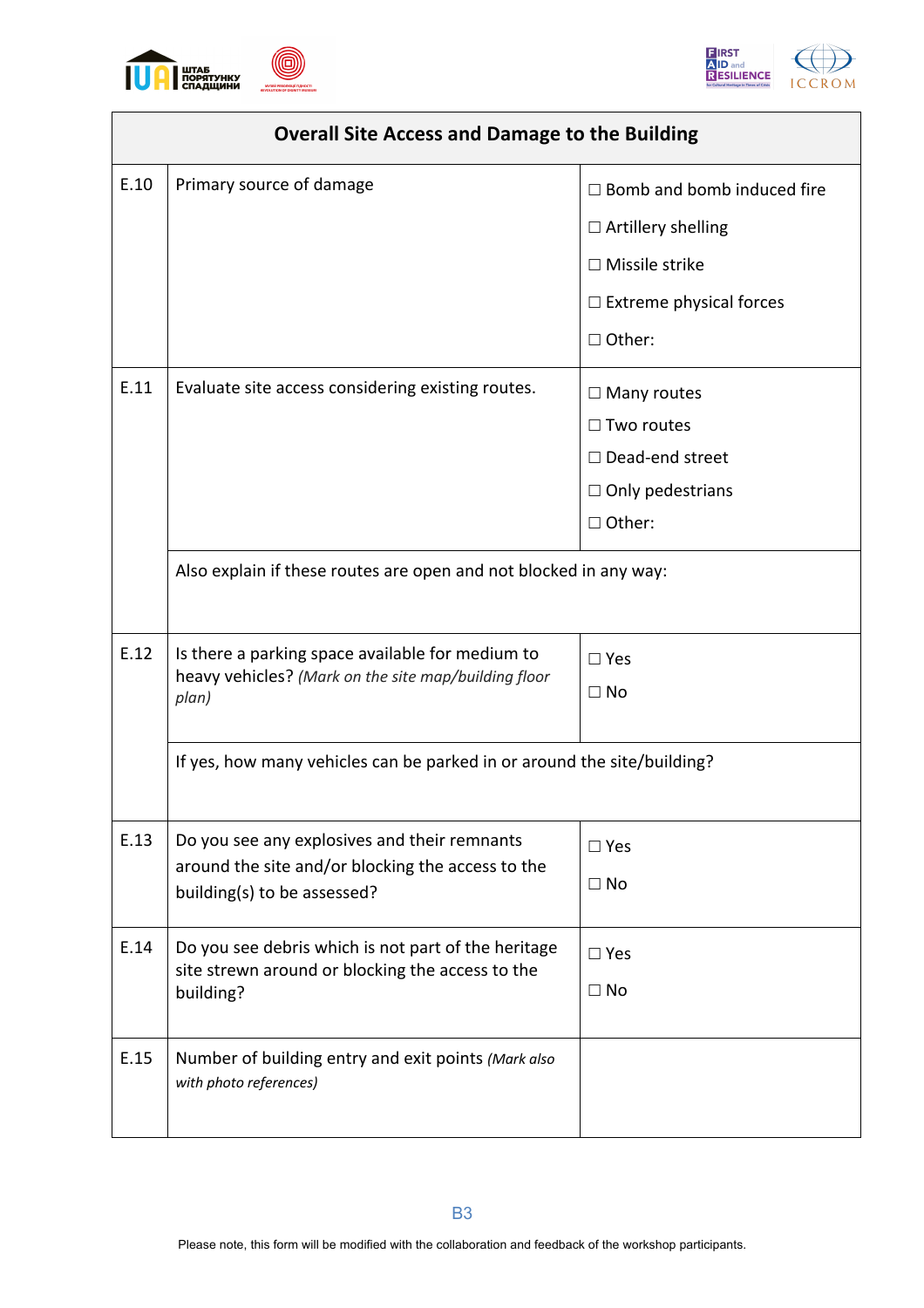





|      | <b>Overall Site Access and Damage to the Building</b>                                                   |                                   |
|------|---------------------------------------------------------------------------------------------------------|-----------------------------------|
| E.10 | Primary source of damage                                                                                | $\Box$ Bomb and bomb induced fire |
|      |                                                                                                         | $\Box$ Artillery shelling         |
|      |                                                                                                         | $\Box$ Missile strike             |
|      |                                                                                                         | $\Box$ Extreme physical forces    |
|      |                                                                                                         | $\Box$ Other:                     |
| E.11 | Evaluate site access considering existing routes.                                                       | $\Box$ Many routes                |
|      |                                                                                                         | $\Box$ Two routes                 |
|      |                                                                                                         | $\Box$ Dead-end street            |
|      |                                                                                                         | $\Box$ Only pedestrians           |
|      |                                                                                                         | □ Other:                          |
|      | Also explain if these routes are open and not blocked in any way:                                       |                                   |
|      |                                                                                                         |                                   |
| E.12 | Is there a parking space available for medium to                                                        | $\square$ Yes                     |
|      | heavy vehicles? (Mark on the site map/building floor<br>plan)                                           | $\Box$ No                         |
|      |                                                                                                         |                                   |
|      | If yes, how many vehicles can be parked in or around the site/building?                                 |                                   |
|      |                                                                                                         |                                   |
| E.13 | Do you see any explosives and their remnants                                                            | $\square$ Yes                     |
|      | around the site and/or blocking the access to the<br>building(s) to be assessed?                        | $\Box$ No                         |
|      |                                                                                                         |                                   |
| E.14 | Do you see debris which is not part of the heritage<br>site strewn around or blocking the access to the | $\square$ Yes                     |
|      | building?                                                                                               | $\Box$ No                         |
|      |                                                                                                         |                                   |
| E.15 | Number of building entry and exit points (Mark also<br>with photo references)                           |                                   |
|      |                                                                                                         |                                   |
|      |                                                                                                         |                                   |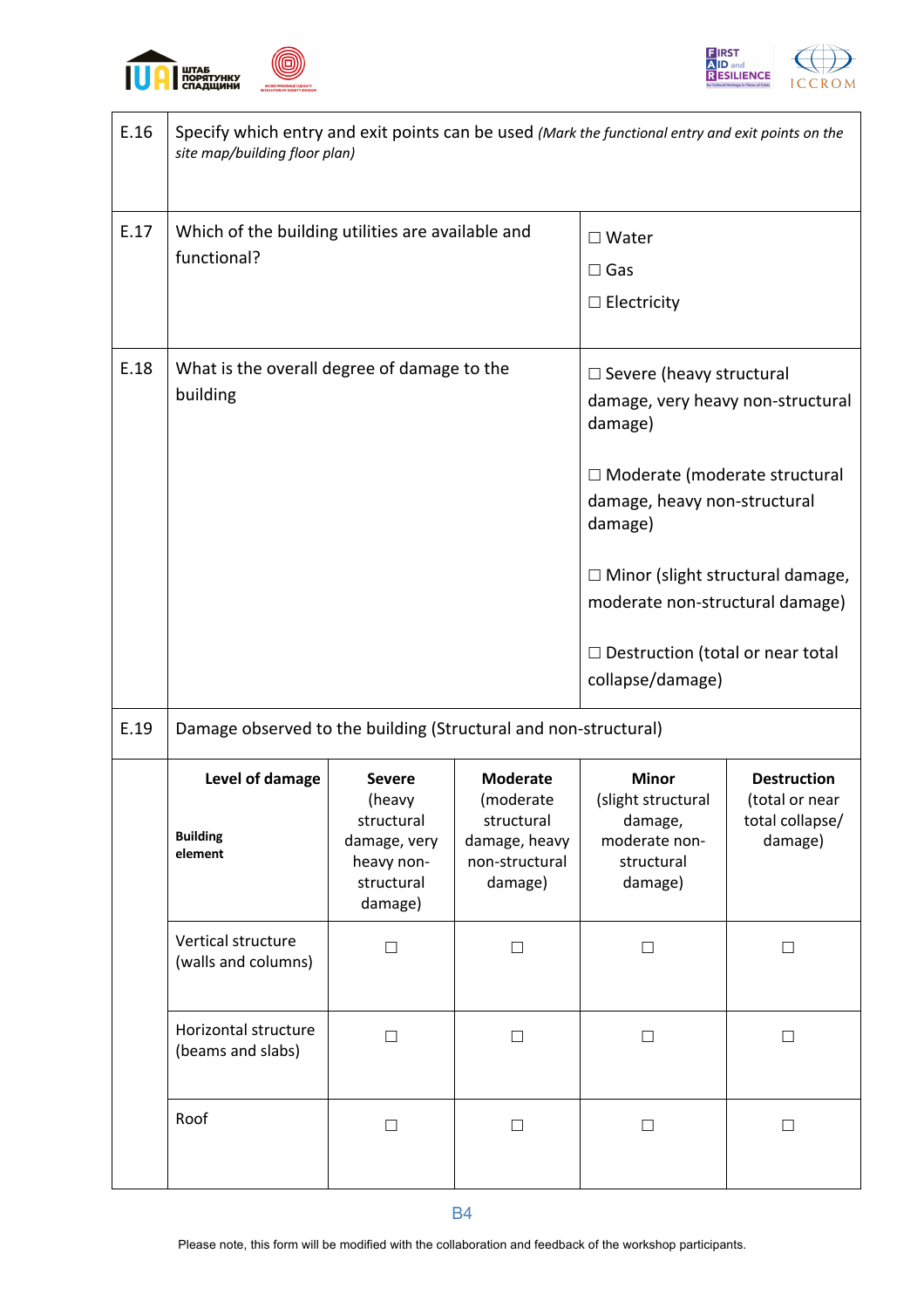





| E.16 | Specify which entry and exit points can be used (Mark the functional entry and exit points on the<br>site map/building floor plan) |                                                                                              |                                                                                          |                                                                                         |                                                                    |  |  |  |  |  |  |  |
|------|------------------------------------------------------------------------------------------------------------------------------------|----------------------------------------------------------------------------------------------|------------------------------------------------------------------------------------------|-----------------------------------------------------------------------------------------|--------------------------------------------------------------------|--|--|--|--|--|--|--|
| E.17 | Which of the building utilities are available and                                                                                  |                                                                                              | $\Box$ Water                                                                             |                                                                                         |                                                                    |  |  |  |  |  |  |  |
|      | functional?                                                                                                                        |                                                                                              |                                                                                          | $\Box$ Gas                                                                              |                                                                    |  |  |  |  |  |  |  |
|      |                                                                                                                                    |                                                                                              | $\Box$ Electricity                                                                       |                                                                                         |                                                                    |  |  |  |  |  |  |  |
| E.18 | What is the overall degree of damage to the                                                                                        |                                                                                              | $\Box$ Severe (heavy structural                                                          |                                                                                         |                                                                    |  |  |  |  |  |  |  |
|      | building                                                                                                                           |                                                                                              |                                                                                          | damage, very heavy non-structural<br>damage)                                            |                                                                    |  |  |  |  |  |  |  |
|      |                                                                                                                                    |                                                                                              | □ Moderate (moderate structural<br>damage, heavy non-structural<br>damage)               |                                                                                         |                                                                    |  |  |  |  |  |  |  |
|      |                                                                                                                                    |                                                                                              | $\Box$ Minor (slight structural damage,<br>moderate non-structural damage)               |                                                                                         |                                                                    |  |  |  |  |  |  |  |
|      |                                                                                                                                    |                                                                                              |                                                                                          | $\Box$ Destruction (total or near total<br>collapse/damage)                             |                                                                    |  |  |  |  |  |  |  |
| E.19 | Damage observed to the building (Structural and non-structural)                                                                    |                                                                                              |                                                                                          |                                                                                         |                                                                    |  |  |  |  |  |  |  |
|      | Level of damage<br><b>Building</b><br>element                                                                                      | <b>Severe</b><br>(heavy<br>structural<br>damage, very<br>heavy non-<br>structural<br>damage) | <b>Moderate</b><br>(moderate<br>structural<br>damage, heavy<br>non-structural<br>damage) | <b>Minor</b><br>(slight structural<br>damage,<br>moderate non-<br>structural<br>damage) | <b>Destruction</b><br>(total or near<br>total collapse/<br>damage) |  |  |  |  |  |  |  |
|      | Vertical structure<br>(walls and columns)                                                                                          | $\Box$                                                                                       | $\Box$                                                                                   | $\Box$                                                                                  | $\Box$                                                             |  |  |  |  |  |  |  |
|      | Horizontal structure<br>(beams and slabs)                                                                                          | $\Box$                                                                                       | $\Box$                                                                                   | $\Box$                                                                                  | $\Box$                                                             |  |  |  |  |  |  |  |
|      | Roof                                                                                                                               | $\Box$                                                                                       | $\Box$                                                                                   | $\Box$                                                                                  | $\Box$                                                             |  |  |  |  |  |  |  |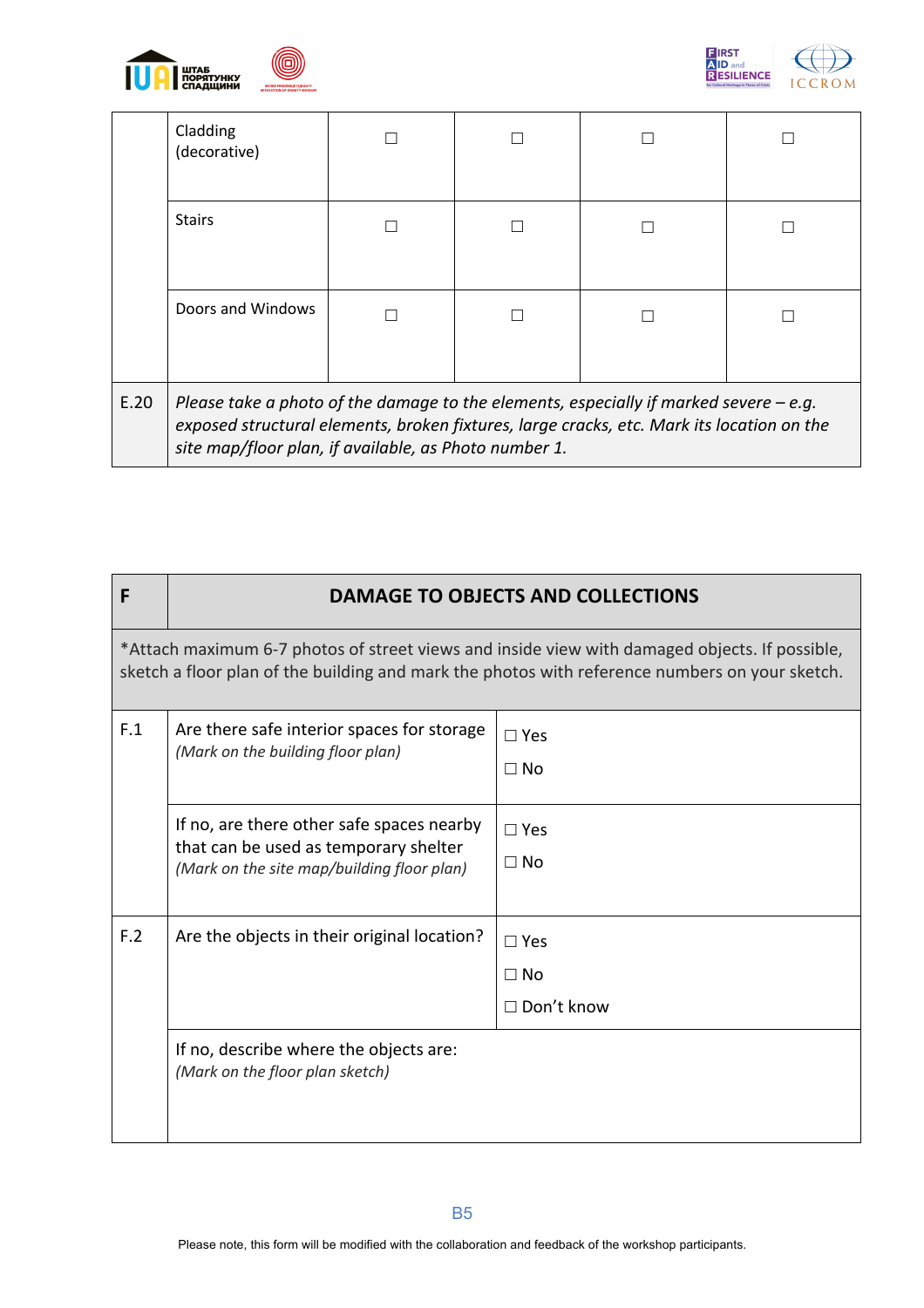



|      | Cladding<br>(decorative)                                                                                                                                                                                                                      |  |  |
|------|-----------------------------------------------------------------------------------------------------------------------------------------------------------------------------------------------------------------------------------------------|--|--|
|      | <b>Stairs</b>                                                                                                                                                                                                                                 |  |  |
|      | Doors and Windows                                                                                                                                                                                                                             |  |  |
| E.20 | Please take a photo of the damage to the elements, especially if marked severe $-e.q$ .<br>exposed structural elements, broken fixtures, large cracks, etc. Mark its location on the<br>site map/floor plan, if available, as Photo number 1. |  |  |

| F   | <b>DAMAGE TO OBJECTS AND COLLECTIONS</b>                                                                                                                                                        |                                              |  |  |  |  |  |  |  |  |  |
|-----|-------------------------------------------------------------------------------------------------------------------------------------------------------------------------------------------------|----------------------------------------------|--|--|--|--|--|--|--|--|--|
|     | *Attach maximum 6-7 photos of street views and inside view with damaged objects. If possible,<br>sketch a floor plan of the building and mark the photos with reference numbers on your sketch. |                                              |  |  |  |  |  |  |  |  |  |
| F.1 | Are there safe interior spaces for storage<br>(Mark on the building floor plan)                                                                                                                 | $\Box$ Yes<br>$\Box$ No                      |  |  |  |  |  |  |  |  |  |
|     | If no, are there other safe spaces nearby<br>that can be used as temporary shelter<br>(Mark on the site map/building floor plan)                                                                | $\square$ Yes<br>$\Box$ No                   |  |  |  |  |  |  |  |  |  |
| F.2 | Are the objects in their original location?                                                                                                                                                     | $\Box$ Yes<br>$\Box$ No<br>$\Box$ Don't know |  |  |  |  |  |  |  |  |  |
|     | If no, describe where the objects are:<br>(Mark on the floor plan sketch)                                                                                                                       |                                              |  |  |  |  |  |  |  |  |  |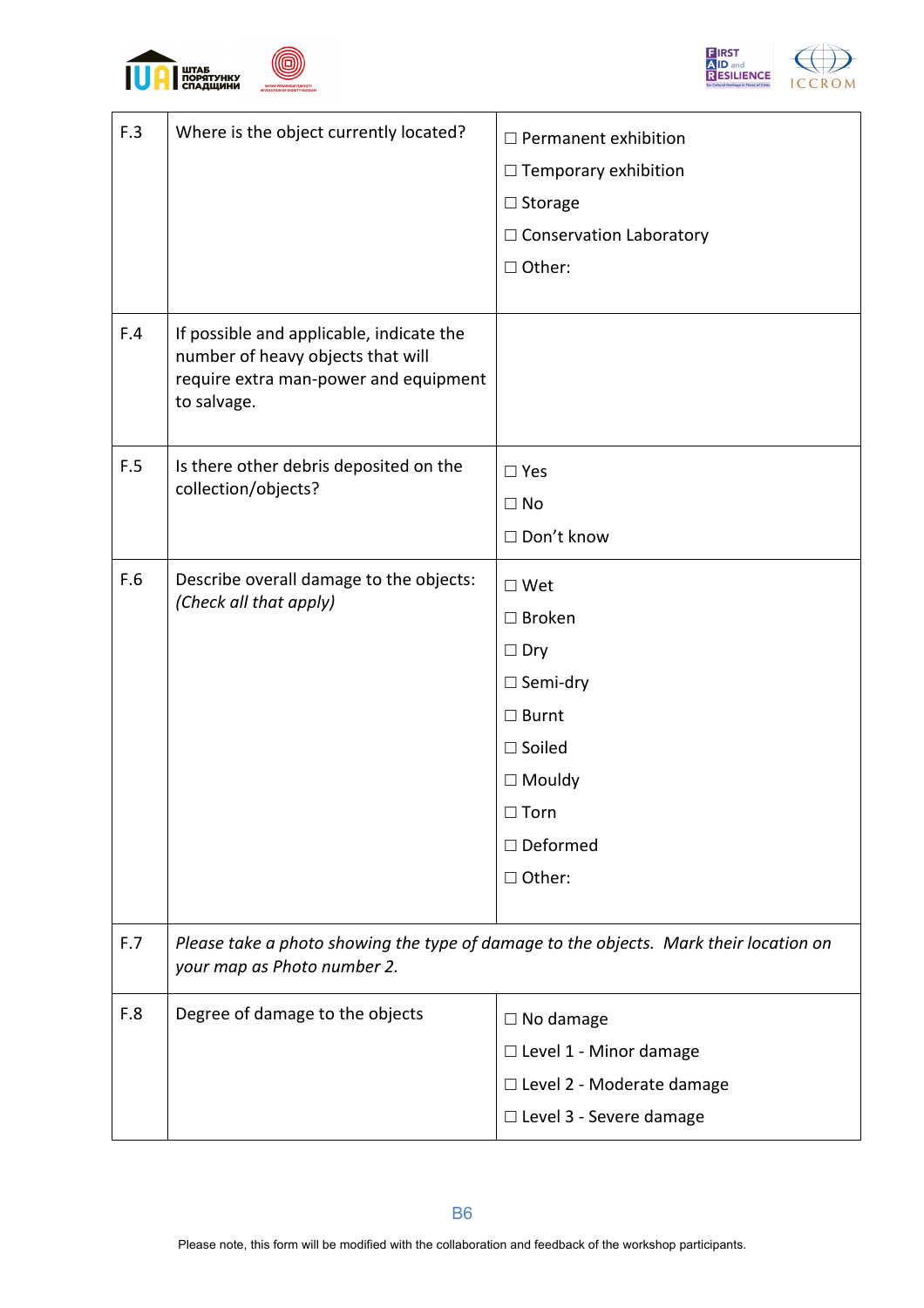





| F.3 | Where is the object currently located?                                                                                                | $\Box$ Permanent exhibition<br>$\Box$ Temporary exhibition<br>$\Box$ Storage<br>$\Box$ Conservation Laboratory<br>□ Other: |  |  |  |  |
|-----|---------------------------------------------------------------------------------------------------------------------------------------|----------------------------------------------------------------------------------------------------------------------------|--|--|--|--|
| F.4 | If possible and applicable, indicate the<br>number of heavy objects that will<br>require extra man-power and equipment<br>to salvage. |                                                                                                                            |  |  |  |  |
| F.5 | Is there other debris deposited on the                                                                                                | $\square$ Yes                                                                                                              |  |  |  |  |
|     | collection/objects?                                                                                                                   | $\Box$ No                                                                                                                  |  |  |  |  |
|     |                                                                                                                                       | □ Don't know                                                                                                               |  |  |  |  |
| F.6 | Describe overall damage to the objects:                                                                                               | $\square$ Wet                                                                                                              |  |  |  |  |
|     | (Check all that apply)                                                                                                                | $\Box$ Broken                                                                                                              |  |  |  |  |
|     |                                                                                                                                       | $\Box$ Dry                                                                                                                 |  |  |  |  |
|     |                                                                                                                                       | $\Box$ Semi-dry                                                                                                            |  |  |  |  |
|     |                                                                                                                                       | $\square$ Burnt                                                                                                            |  |  |  |  |
|     |                                                                                                                                       | $\square$ Soiled                                                                                                           |  |  |  |  |
|     |                                                                                                                                       | $\Box$ Mouldy                                                                                                              |  |  |  |  |
|     |                                                                                                                                       | $\Box$ Torn                                                                                                                |  |  |  |  |
|     |                                                                                                                                       | $\square$ Deformed                                                                                                         |  |  |  |  |
|     |                                                                                                                                       | □ Other:                                                                                                                   |  |  |  |  |
| F.7 | your map as Photo number 2.                                                                                                           | Please take a photo showing the type of damage to the objects. Mark their location on                                      |  |  |  |  |
| F.8 | Degree of damage to the objects                                                                                                       | $\Box$ No damage                                                                                                           |  |  |  |  |
|     |                                                                                                                                       | □ Level 1 - Minor damage                                                                                                   |  |  |  |  |
|     |                                                                                                                                       | □ Level 2 - Moderate damage                                                                                                |  |  |  |  |
|     |                                                                                                                                       | □ Level 3 - Severe damage                                                                                                  |  |  |  |  |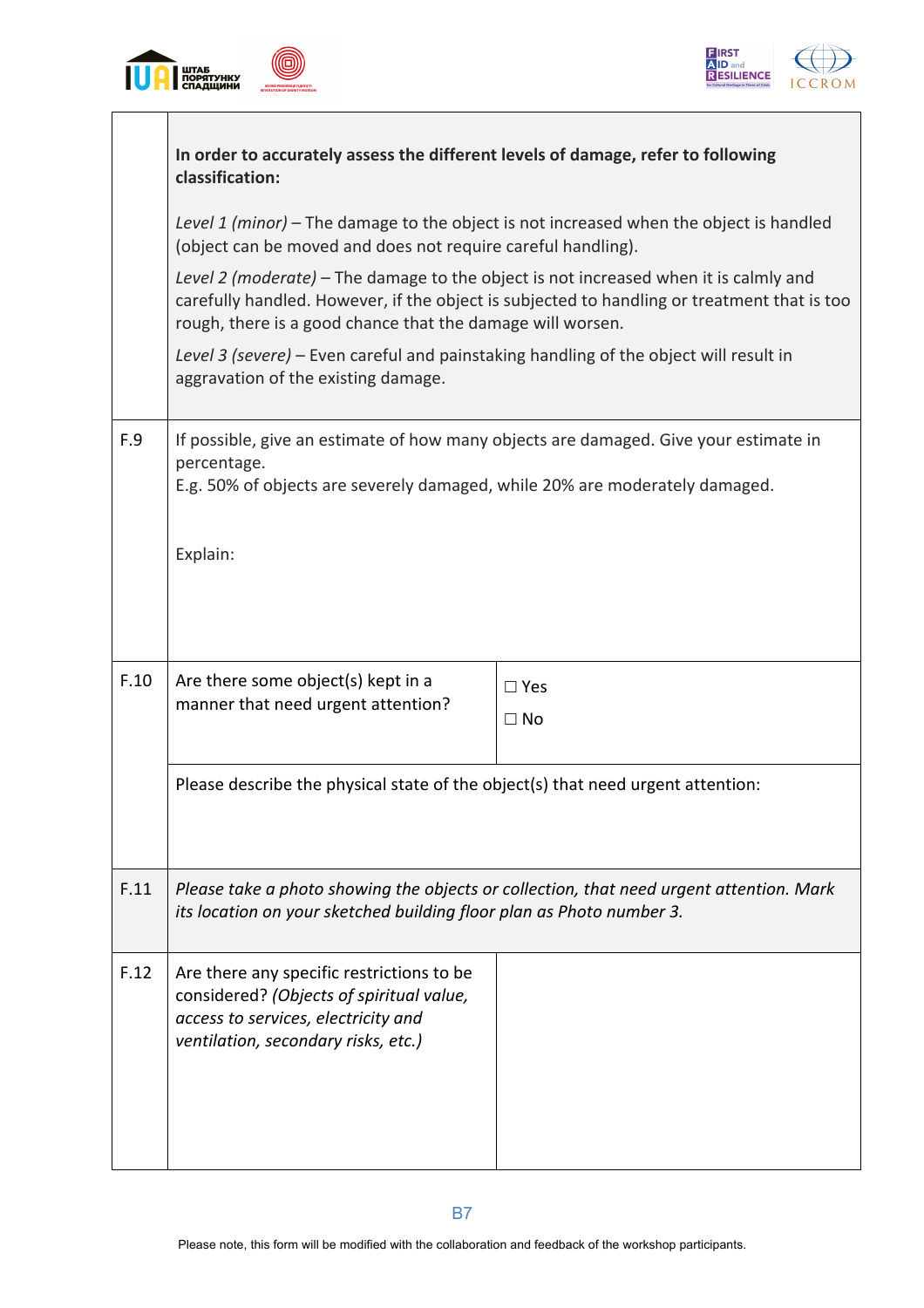



|      | In order to accurately assess the different levels of damage, refer to following<br>classification:                                                                                                                                               |                                                                                         |  |  |  |  |  |  |  |  |  |
|------|---------------------------------------------------------------------------------------------------------------------------------------------------------------------------------------------------------------------------------------------------|-----------------------------------------------------------------------------------------|--|--|--|--|--|--|--|--|--|
|      | Level 1 (minor) – The damage to the object is not increased when the object is handled<br>(object can be moved and does not require careful handling).                                                                                            |                                                                                         |  |  |  |  |  |  |  |  |  |
|      | Level 2 (moderate) – The damage to the object is not increased when it is calmly and<br>carefully handled. However, if the object is subjected to handling or treatment that is too<br>rough, there is a good chance that the damage will worsen. |                                                                                         |  |  |  |  |  |  |  |  |  |
|      | Level 3 (severe) – Even careful and painstaking handling of the object will result in<br>aggravation of the existing damage.                                                                                                                      |                                                                                         |  |  |  |  |  |  |  |  |  |
| F.9  | If possible, give an estimate of how many objects are damaged. Give your estimate in<br>percentage.<br>E.g. 50% of objects are severely damaged, while 20% are moderately damaged.                                                                |                                                                                         |  |  |  |  |  |  |  |  |  |
|      | Explain:                                                                                                                                                                                                                                          |                                                                                         |  |  |  |  |  |  |  |  |  |
| F.10 | Are there some object(s) kept in a<br>manner that need urgent attention?                                                                                                                                                                          | $\square$ Yes<br>$\Box$ No                                                              |  |  |  |  |  |  |  |  |  |
|      | Please describe the physical state of the object(s) that need urgent attention:                                                                                                                                                                   |                                                                                         |  |  |  |  |  |  |  |  |  |
| F.11 | its location on your sketched building floor plan as Photo number 3.                                                                                                                                                                              | Please take a photo showing the objects or collection, that need urgent attention. Mark |  |  |  |  |  |  |  |  |  |
| F.12 | Are there any specific restrictions to be<br>considered? (Objects of spiritual value,<br>access to services, electricity and<br>ventilation, secondary risks, etc.)                                                                               |                                                                                         |  |  |  |  |  |  |  |  |  |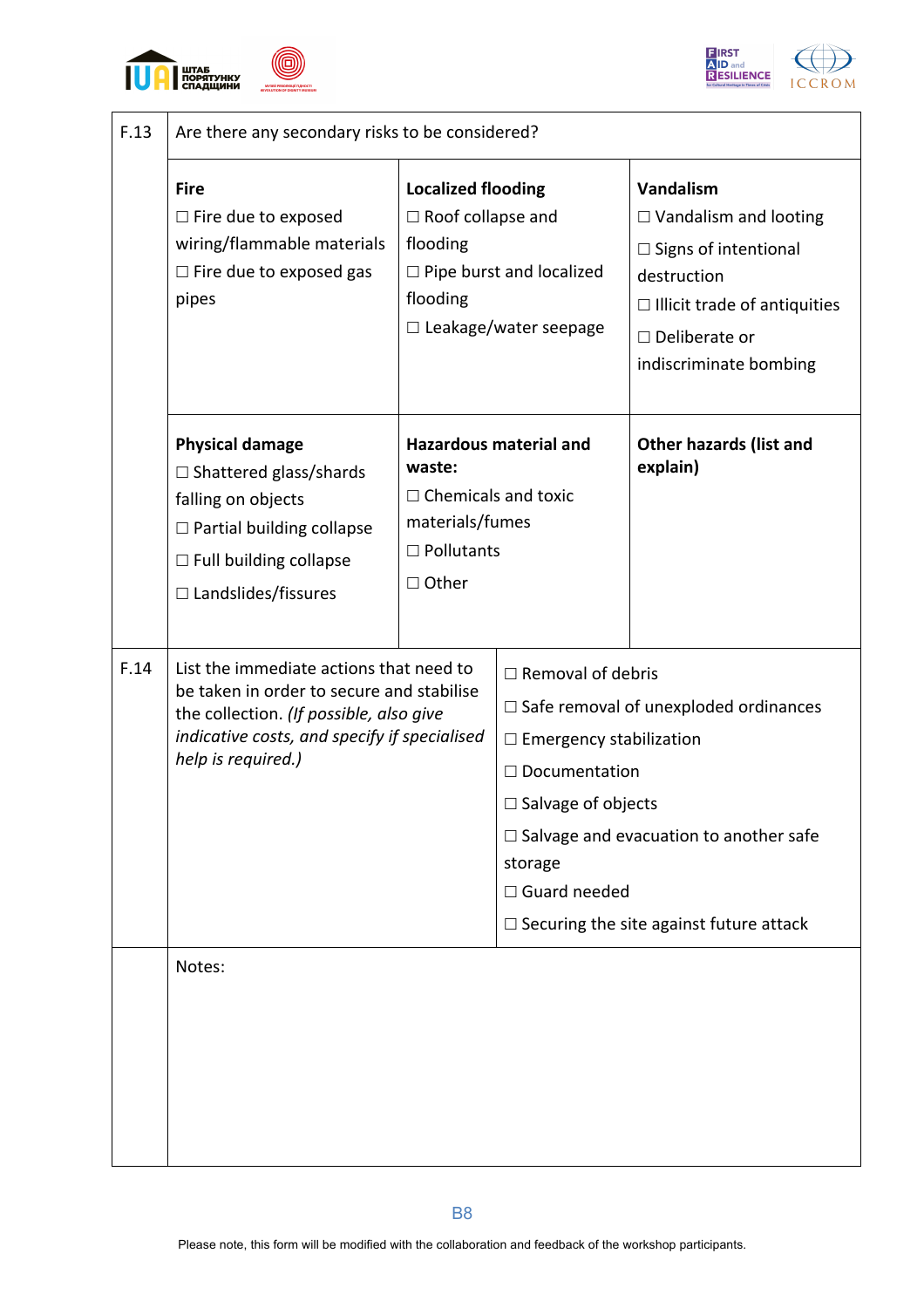





| F.13 | Are there any secondary risks to be considered?                                                                                                                                                       |                                                                                                 |                                                                                                                                                   |                                                                                                                                                                                  |  |  |  |  |  |  |  |
|------|-------------------------------------------------------------------------------------------------------------------------------------------------------------------------------------------------------|-------------------------------------------------------------------------------------------------|---------------------------------------------------------------------------------------------------------------------------------------------------|----------------------------------------------------------------------------------------------------------------------------------------------------------------------------------|--|--|--|--|--|--|--|
|      | <b>Fire</b><br>$\Box$ Fire due to exposed<br>wiring/flammable materials<br>$\Box$ Fire due to exposed gas<br>pipes                                                                                    | <b>Localized flooding</b><br>$\Box$ Roof collapse and<br>flooding<br>flooding                   | $\Box$ Pipe burst and localized<br>□ Leakage/water seepage                                                                                        | Vandalism<br>$\Box$ Vandalism and looting<br>$\Box$ Signs of intentional<br>destruction<br>$\Box$ Illicit trade of antiquities<br>$\Box$ Deliberate or<br>indiscriminate bombing |  |  |  |  |  |  |  |
|      | <b>Physical damage</b><br>$\Box$ Shattered glass/shards<br>falling on objects<br>□ Partial building collapse<br>$\Box$ Full building collapse<br>$\Box$ Landslides/fissures                           | waste:<br>$\Box$ Chemicals and toxic<br>materials/fumes<br>$\square$ Pollutants<br>$\Box$ Other | <b>Hazardous material and</b>                                                                                                                     | <b>Other hazards (list and</b><br>explain)                                                                                                                                       |  |  |  |  |  |  |  |
| F.14 | List the immediate actions that need to<br>be taken in order to secure and stabilise<br>the collection. (If possible, also give<br>indicative costs, and specify if specialised<br>help is required.) |                                                                                                 | $\Box$ Removal of debris<br>$\Box$ Emergency stabilization<br>$\Box$ Documentation<br>$\Box$ Salvage of objects<br>storage<br>$\Box$ Guard needed | $\Box$ Safe removal of unexploded ordinances<br>$\Box$ Salvage and evacuation to another safe<br>$\Box$ Securing the site against future attack                                  |  |  |  |  |  |  |  |
|      | Notes:                                                                                                                                                                                                |                                                                                                 |                                                                                                                                                   |                                                                                                                                                                                  |  |  |  |  |  |  |  |